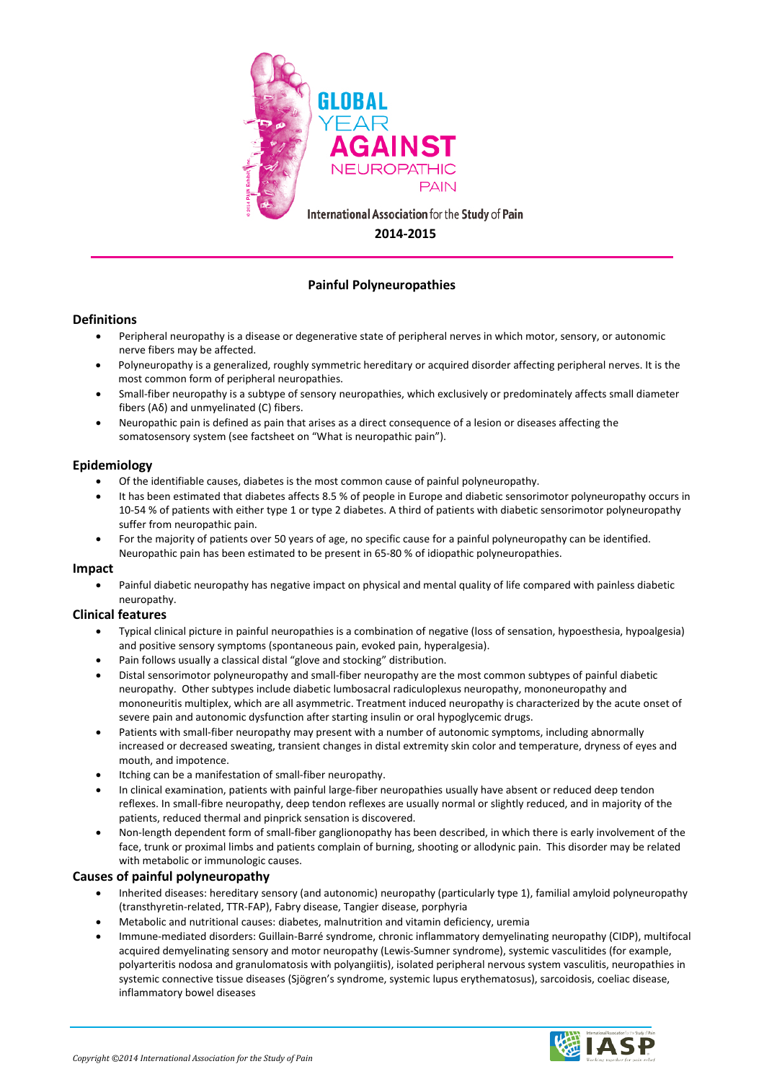

# **Painful Polyneuropathies**

### **Definitions**

- Peripheral neuropathy is a disease or degenerative state of peripheral nerves in which motor, sensory, or autonomic nerve fibers may be affected.
- Polyneuropathy is a generalized, roughly symmetric hereditary or acquired disorder affecting peripheral nerves. It is the most common form of peripheral neuropathies.
- Small-fiber neuropathy is a subtype of sensory neuropathies, which exclusively or predominately affects small diameter fibers ( $A\delta$ ) and unmyelinated (C) fibers.
- Neuropathic pain is defined as pain that arises as a direct consequence of a lesion or diseases affecting the somatosensory system (see factsheet on "What is neuropathic pain").

### **Epidemiology**

- Of the identifiable causes, diabetes is the most common cause of painful polyneuropathy.
- It has been estimated that diabetes affects 8.5 % of people in Europe and diabetic sensorimotor polyneuropathy occurs in 10-54 % of patients with either type 1 or type 2 diabetes. A third of patients with diabetic sensorimotor polyneuropathy suffer from neuropathic pain.
- For the majority of patients over 50 years of age, no specific cause for a painful polyneuropathy can be identified. Neuropathic pain has been estimated to be present in 65-80 % of idiopathic polyneuropathies.

#### **Impact**

• Painful diabetic neuropathy has negative impact on physical and mental quality of life compared with painless diabetic neuropathy.

### **Clinical features**

- Typical clinical picture in painful neuropathies is a combination of negative (loss of sensation, hypoesthesia, hypoalgesia) and positive sensory symptoms (spontaneous pain, evoked pain, hyperalgesia).
- Pain follows usually a classical distal "glove and stocking" distribution.
- Distal sensorimotor polyneuropathy and small-fiber neuropathy are the most common subtypes of painful diabetic neuropathy. Other subtypes include diabetic lumbosacral radiculoplexus neuropathy, mononeuropathy and mononeuritis multiplex, which are all asymmetric. Treatment induced neuropathy is characterized by the acute onset of severe pain and autonomic dysfunction after starting insulin or oral hypoglycemic drugs.
- Patients with small-fiber neuropathy may present with a number of autonomic symptoms, including abnormally increased or decreased sweating, transient changes in distal extremity skin color and temperature, dryness of eyes and mouth, and impotence.
- Itching can be a manifestation of small-fiber neuropathy.
- In clinical examination, patients with painful large-fiber neuropathies usually have absent or reduced deep tendon reflexes. In small-fibre neuropathy, deep tendon reflexes are usually normal or slightly reduced, and in majority of the patients, reduced thermal and pinprick sensation is discovered.
- Non-length dependent form of small-fiber ganglionopathy has been described, in which there is early involvement of the face, trunk or proximal limbs and patients complain of burning, shooting or allodynic pain. This disorder may be related with metabolic or immunologic causes.

### **Causes of painful polyneuropathy**

- Inherited diseases: hereditary sensory (and autonomic) neuropathy (particularly type 1), familial amyloid polyneuropathy (transthyretin-related, TTR-FAP), Fabry disease, Tangier disease, porphyria
- Metabolic and nutritional causes: diabetes, malnutrition and vitamin deficiency, uremia
- Immune-mediated disorders: Guillain-Barré syndrome, chronic inflammatory demyelinating neuropathy (CIDP), multifocal acquired demyelinating sensory and motor neuropathy (Lewis-Sumner syndrome), systemic vasculitides (for example, polyarteritis nodosa and granulomatosis with polyangiitis), isolated peripheral nervous system vasculitis, neuropathies in systemic connective tissue diseases (Sjögren's syndrome, systemic lupus erythematosus), sarcoidosis, coeliac disease, inflammatory bowel diseases